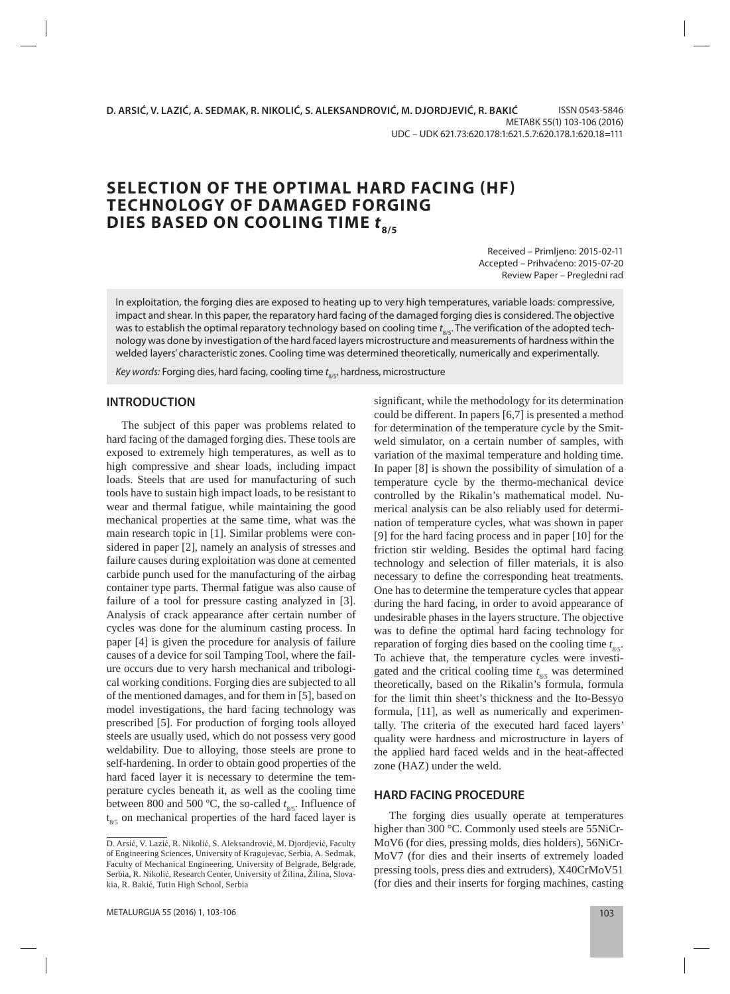# **SELECTION OF THE OPTIMAL HARD FACING (HF) TECHNOLOGY OF DAMAGED FORGING DIES BASED ON COOLING TIME**  $t_{\text{a/s}}$

Received – Primljeno: 2015-02-11 Accepted – Prihvaćeno: 2015-07-20 Review Paper – Pregledni rad

In exploitation, the forging dies are exposed to heating up to very high temperatures, variable loads: compressive, impact and shear. In this paper, the reparatory hard facing of the damaged forging dies is considered. The objective was to establish the optimal reparatory technology based on cooling time  $t_{\rm s/s}$ . The verification of the adopted technology was done by investigation of the hard faced layers microstructure and measurements of hardness within the welded layers' characteristic zones. Cooling time was determined theoretically, numerically and experimentally.

Key words: Forging dies, hard facing, cooling time  $t_{\rm g {\scriptscriptstyle I} S}$ , hardness, microstructure

# **INTRODUCTION**

The subject of this paper was problems related to hard facing of the damaged forging dies. These tools are exposed to extremely high temperatures, as well as to high compressive and shear loads, including impact loads. Steels that are used for manufacturing of such tools have to sustain high impact loads, to be resistant to wear and thermal fatigue, while maintaining the good mechanical properties at the same time, what was the main research topic in [1]. Similar problems were considered in paper [2], namely an analysis of stresses and failure causes during exploitation was done at cemented carbide punch used for the manufacturing of the airbag container type parts. Thermal fatigue was also cause of failure of a tool for pressure casting analyzed in [3]. Analysis of crack appearance after certain number of cycles was done for the aluminum casting process. In paper [4] is given the procedure for analysis of failure causes of a device for soil Tamping Tool, where the failure occurs due to very harsh mechanical and tribological working conditions. Forging dies are subjected to all of the mentioned damages, and for them in [5], based on model investigations, the hard facing technology was prescribed [5]. For production of forging tools alloyed steels are usually used, which do not possess very good weldability. Due to alloying, those steels are prone to self-hardening. In order to obtain good properties of the hard faced layer it is necessary to determine the temperature cycles beneath it, as well as the cooling time between 800 and 500 °C, the so-called  $t_{\text{g/s}}$ . Influence of t 8/5 on mechanical properties of the hard faced layer is significant, while the methodology for its determination could be different. In papers [6,7] is presented a method for determination of the temperature cycle by the Smitweld simulator, on a certain number of samples, with variation of the maximal temperature and holding time. In paper [8] is shown the possibility of simulation of a temperature cycle by the thermo-mechanical device controlled by the Rikalin's mathematical model. Numerical analysis can be also reliably used for determination of temperature cycles, what was shown in paper [9] for the hard facing process and in paper [10] for the friction stir welding. Besides the optimal hard facing technology and selection of filler materials, it is also necessary to define the corresponding heat treatments. One has to determine the temperature cycles that appear during the hard facing, in order to avoid appearance of undesirable phases in the layers structure. The objective was to define the optimal hard facing technology for reparation of forging dies based on the cooling time  $t_{\text{gs}}$ . To achieve that, the temperature cycles were investigated and the critical cooling time  $t_{\text{gs}}$  was determined theoretically, based on the Rikalin's formula, formula for the limit thin sheet's thickness and the Ito-Bessyo formula, [11], as well as numerically and experimentally. The criteria of the executed hard faced layers' quality were hardness and microstructure in layers of the applied hard faced welds and in the heat-affected zone (HAZ) under the weld.

#### **HARD FACING PROCEDURE**

The forging dies usually operate at temperatures higher than 300 °C. Commonly used steels are 55NiCr-MoV6 (for dies, pressing molds, dies holders), 56NiCr-MoV7 (for dies and their inserts of extremely loaded pressing tools, press dies and extruders), X40CrMoV51 (for dies and their inserts for forging machines, casting

D. Arsić, V. Lazić, R. Nikolić, S. Aleksandrović, M. Djordjević, Faculty of Engineering Sciences, University of Kragujevac, Serbia, A. Sedmak, Faculty of Mechanical Engineering, University of Belgrade, Belgrade, Serbia, R. Nikolić, Research Center, University of Žilina, Žilina, Slovakia, R. Bakić, Tutin High School, Serbia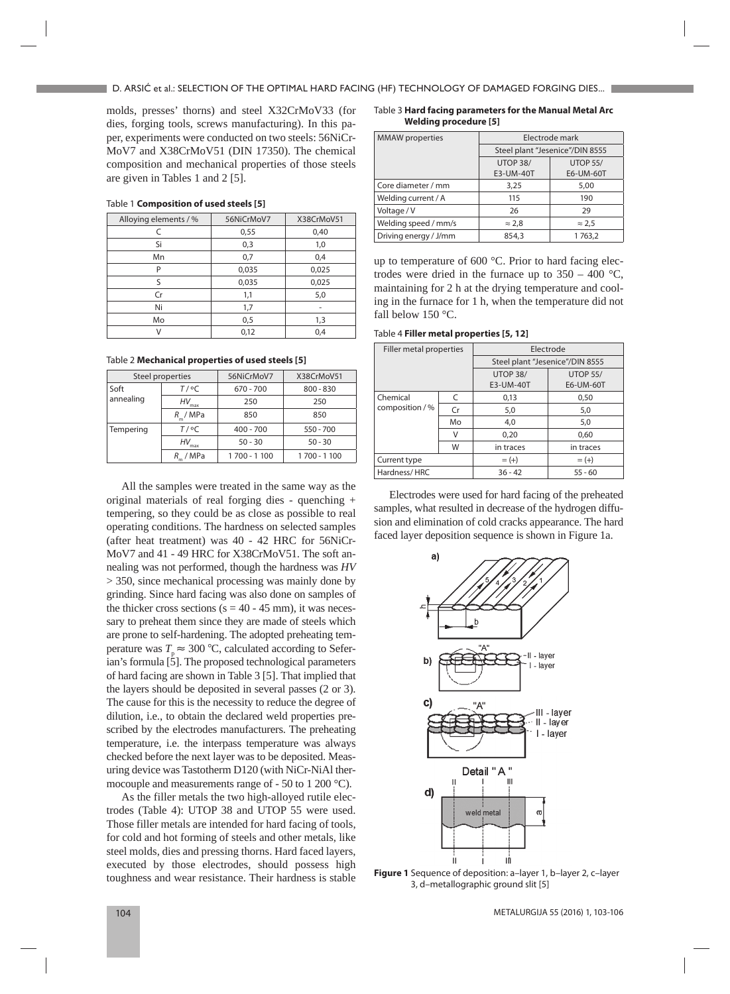molds, presses' thorns) and steel X32CrMoV33 (for dies, forging tools, screws manufacturing). In this paper, experiments were conducted on two steels: 56NiCr-MoV7 and X38CrMoV51 (DIN 17350). The chemical composition and mechanical properties of those steels are given in Tables 1 and 2 [5].

| 56NiCrMoV7 | X38CrMoV51 |
|------------|------------|
| 0,55       | 0,40       |
| 0,3        | 1,0        |
| 0,7        | 0,4        |
| 0,035      | 0,025      |
| 0,035      | 0,025      |
| 1,1        | 5,0        |
| 1,7        | -          |
| 0,5        | 1,3        |
| 0,12       | 0,4        |
|            |            |

Table 1 **Composition of used steels [5]**

Table 2 **Mechanical properties of used steels [5]**

| Steel properties |                   | 56NiCrMoV7    | X38CrMoV51  |
|------------------|-------------------|---------------|-------------|
| Soft             | $T/$ °C           | $670 - 700$   | $800 - 830$ |
| annealing        | HV<br>max         | 250           | 250         |
|                  | R / MPa           | 850           | 850         |
| Tempering        | $T / {}^{\circ}C$ | $400 - 700$   | 550 - 700   |
|                  | HV<br>max         | $50 - 30$     | $50 - 30$   |
|                  | R / MPa           | 1 700 - 1 100 | 1700 - 1100 |

All the samples were treated in the same way as the original materials of real forging dies - quenching + tempering, so they could be as close as possible to real operating conditions. The hardness on selected samples (after heat treatment) was 40 - 42 HRC for 56NiCr-MoV7 and 41 - 49 HRC for X38CrMoV51. The soft annealing was not performed, though the hardness was *HV* > 350, since mechanical processing was mainly done by grinding. Since hard facing was also done on samples of the thicker cross sections ( $s = 40 - 45$  mm), it was necessary to preheat them since they are made of steels which are prone to self-hardening. The adopted preheating temperature was  $T_{\text{p}} \approx 300 \text{ °C}$ , calculated according to Seferian's formula  $\lceil 5 \rceil$ . The proposed technological parameters of hard facing are shown in Table 3 [5]. That implied that the layers should be deposited in several passes (2 or 3). The cause for this is the necessity to reduce the degree of dilution, i.e., to obtain the declared weld properties prescribed by the electrodes manufacturers. The preheating temperature, i.e. the interpass temperature was always checked before the next layer was to be deposited. Measuring device was Tastotherm D120 (with NiCr-NiAl thermocouple and measurements range of - 50 to 1 200 °C).

As the filler metals the two high-alloyed rutile electrodes (Table 4): UTOP 38 and UTOP 55 were used. Those filler metals are intended for hard facing of tools, for cold and hot forming of steels and other metals, like steel molds, dies and pressing thorns. Hard faced layers, executed by those electrodes, should possess high toughness and wear resistance. Their hardness is stable

Table 3 **Hard facing parameters for the Manual Metal Arc Welding procedure [5]**

| <b>MMAW</b> properties | Electrode mark                  |                 |
|------------------------|---------------------------------|-----------------|
|                        | Steel plant "Jesenice"/DIN 8555 |                 |
|                        | UTOP 38/                        | <b>UTOP 55/</b> |
|                        | E3-UM-40T                       | E6-UM-60T       |
| Core diameter / mm     | 3,25                            | 5,00            |
| Welding current / A    | 115                             | 190             |
| Voltage / V            | 26                              | 29              |
| Welding speed / mm/s   | $\approx$ 2,8                   | $\approx$ 2.5   |
| Driving energy / J/mm  | 854,3                           | 1 763,2         |

up to temperature of 600 °C. Prior to hard facing electrodes were dried in the furnace up to  $350 - 400$  °C, maintaining for 2 h at the drying temperature and cooling in the furnace for 1 h, when the temperature did not fall below 150 °C.

Table 4 **Filler metal properties [5, 12]**

| Filler metal properties       |    | Electrode                       |                              |  |
|-------------------------------|----|---------------------------------|------------------------------|--|
|                               |    | Steel plant "Jesenice"/DIN 8555 |                              |  |
|                               |    | UTOP 38/<br>E3-UM-40T           | <b>UTOP 55/</b><br>E6-UM-60T |  |
| Chemical<br>composition $/$ % | C  | 0,13                            | 0.50                         |  |
|                               | Cr | 5,0                             | 5,0                          |  |
|                               | Mo | 4,0                             | 5,0                          |  |
|                               | v  | 0,20                            | 0.60                         |  |
|                               | W  | in traces                       | in traces                    |  |
| Current type                  |    | $= (+)$                         | $= (+)$                      |  |
| Hardness/HRC                  |    | $36 - 42$                       | $55 - 60$                    |  |

Electrodes were used for hard facing of the preheated samples, what resulted in decrease of the hydrogen diffusion and elimination of cold cracks appearance. The hard faced layer deposition sequence is shown in Figure 1a.



**Figure 1** Sequence of deposition: a–layer 1, b–layer 2, c–layer 3, d–metallographic ground slit [5]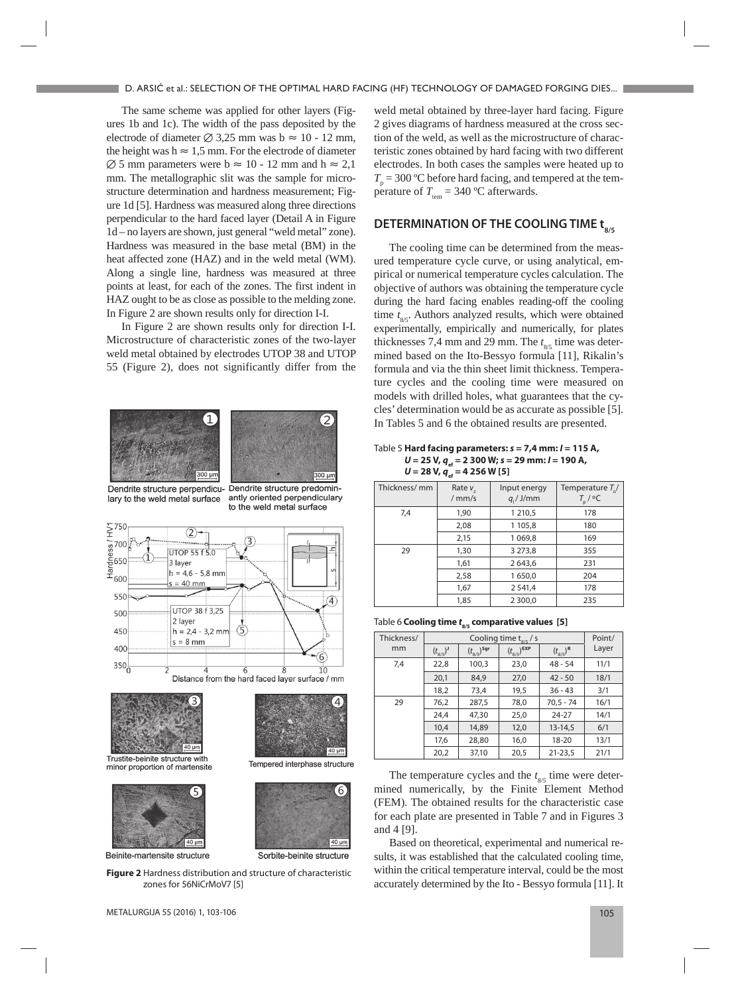The same scheme was applied for other layers (Figures 1b and 1c). The width of the pass deposited by the electrode of diameter  $\varnothing$  3,25 mm was b  $\approx$  10 - 12 mm, the height was h  $\approx 1.5$  mm. For the electrode of diameter  $\varnothing$  5 mm parameters were b  $\approx 10 - 12$  mm and h  $\approx 2.1$ mm. The metallographic slit was the sample for microstructure determination and hardness measurement; Figure 1d [5]. Hardness was measured along three directions perpendicular to the hard faced layer (Detail A in Figure 1d – no layers are shown, just general "weld metal" zone). Hardness was measured in the base metal (BM) in the heat affected zone (HAZ) and in the weld metal (WM). Along a single line, hardness was measured at three points at least, for each of the zones. The first indent in HAZ ought to be as close as possible to the melding zone. In Figure 2 are shown results only for direction I-I.

In Figure 2 are shown results only for direction I-I. Microstructure of characteristic zones of the two-layer weld metal obtained by electrodes UTOP 38 and UTOP 55 (Figure 2), does not significantly differ from the





Dendrite structure perpendicu- Dendrite structure predominlary to the weld metal surface

antly oriented perpendiculary to the weld metal surface

Δ

 $\overline{6}$ 

 $40<sub>1</sub>$ 

Tempered interphase structure

Sorbite-beinite structure





Trustite-beinite structure with minor proportion of martensite



Beinite-martensite structure

**Figure 2** Hardness distribution and structure of characteristic zones for 56NiCrMoV7 [5]

weld metal obtained by three-layer hard facing. Figure 2 gives diagrams of hardness measured at the cross section of the weld, as well as the microstructure of characteristic zones obtained by hard facing with two different electrodes. In both cases the samples were heated up to  $T_p = 300 \text{ °C}$  before hard facing, and tempered at the temperature of  $T_{\text{cm}} = 340 \text{ °C}$  afterwards.

## **DETERMINATION OF THE COOLING TIME tsks**

The cooling time can be determined from the measured temperature cycle curve, or using analytical, empirical or numerical temperature cycles calculation. The objective of authors was obtaining the temperature cycle during the hard facing enables reading-off the cooling time  $t_{8/5}$ . Authors analyzed results, which were obtained experimentally, empirically and numerically, for plates thicknesses 7,4 mm and 29 mm. The  $t_{\rm g5}$  time was determined based on the Ito-Bessyo formula [11], Rikalin's formula and via the thin sheet limit thickness. Temperature cycles and the cooling time were measured on models with drilled holes, what guarantees that the cycles' determination would be as accurate as possible [5]. In Tables 5 and 6 the obtained results are presented.

Table 5 **Hard facing parameters:** *s* **= 7,4 mm:** *I* **= 115 A,**  *U* = 25 V,  $q_{\text{ef}}$  = 2 300 W; *s* = 29 mm: *l* = 190 A,  $U = 28 V$ ,  $q_{\text{ef}} = 4256 W [5]$ 

| Thickness/mm | Rate v<br>/mm/s | Input energy<br>$q/$ J/mm | Temperature $T_{\rm s}$ /<br>$T_{\rm p}$ / $\rm ^oC$ |
|--------------|-----------------|---------------------------|------------------------------------------------------|
| 7,4          | 1,90            | 1 210,5                   | 178                                                  |
|              | 2,08            | 1 105,8                   | 180                                                  |
|              | 2,15            | 1 0 6 9, 8                | 169                                                  |
| 29           | 1,30            | 3 27 3, 8                 | 355                                                  |
|              | 1,61            | 2643,6                    | 231                                                  |
|              | 2,58            | 1650,0                    | 204                                                  |
|              | 1,67            | 2 5 4 1, 4                | 178                                                  |
|              | 1,85            | 2 3 0 0,0                 | 235                                                  |

Table 6 **Cooling time** *t***8/5 comparative values [5]**

| Thickness/ | Cooling time $t_{\rm g/s}$ / s |                          |                          | Point/              |       |
|------------|--------------------------------|--------------------------|--------------------------|---------------------|-------|
| mm         | $(t_{8/5})^J$                  | $(t_{8/5})^{\text{Sgr}}$ | $(t_{8/5})^{\text{EXP}}$ | $(t_{8/5})^{\rm R}$ | Layer |
| 7,4        | 22,8                           | 100,3                    | 23,0                     | $48 - 54$           | 11/1  |
|            | 20,1                           | 84,9                     | 27,0                     | $42 - 50$           | 18/1  |
|            | 18,2                           | 73,4                     | 19,5                     | $36 - 43$           | 3/1   |
| 29         | 76,2                           | 287,5                    | 78,0                     | $70,5 - 74$         | 16/1  |
|            | 24,4                           | 47,30                    | 25,0                     | $24 - 27$           | 14/1  |
|            | 10,4                           | 14,89                    | 12,0                     | $13-14,5$           | 6/1   |
|            | 17,6                           | 28,80                    | 16,0                     | $18 - 20$           | 13/1  |
|            | 20,2                           | 37,10                    | 20,5                     | $21 - 23,5$         | 21/1  |

The temperature cycles and the  $t_{\text{gs}}$  time were determined numerically, by the Finite Element Method (FEM). The obtained results for the characteristic case for each plate are presented in Table 7 and in Figures 3 and 4 [9].

Based on theoretical, experimental and numerical results, it was established that the calculated cooling time, within the critical temperature interval, could be the most accurately determined by the Ito - Bessyo formula [11]. It